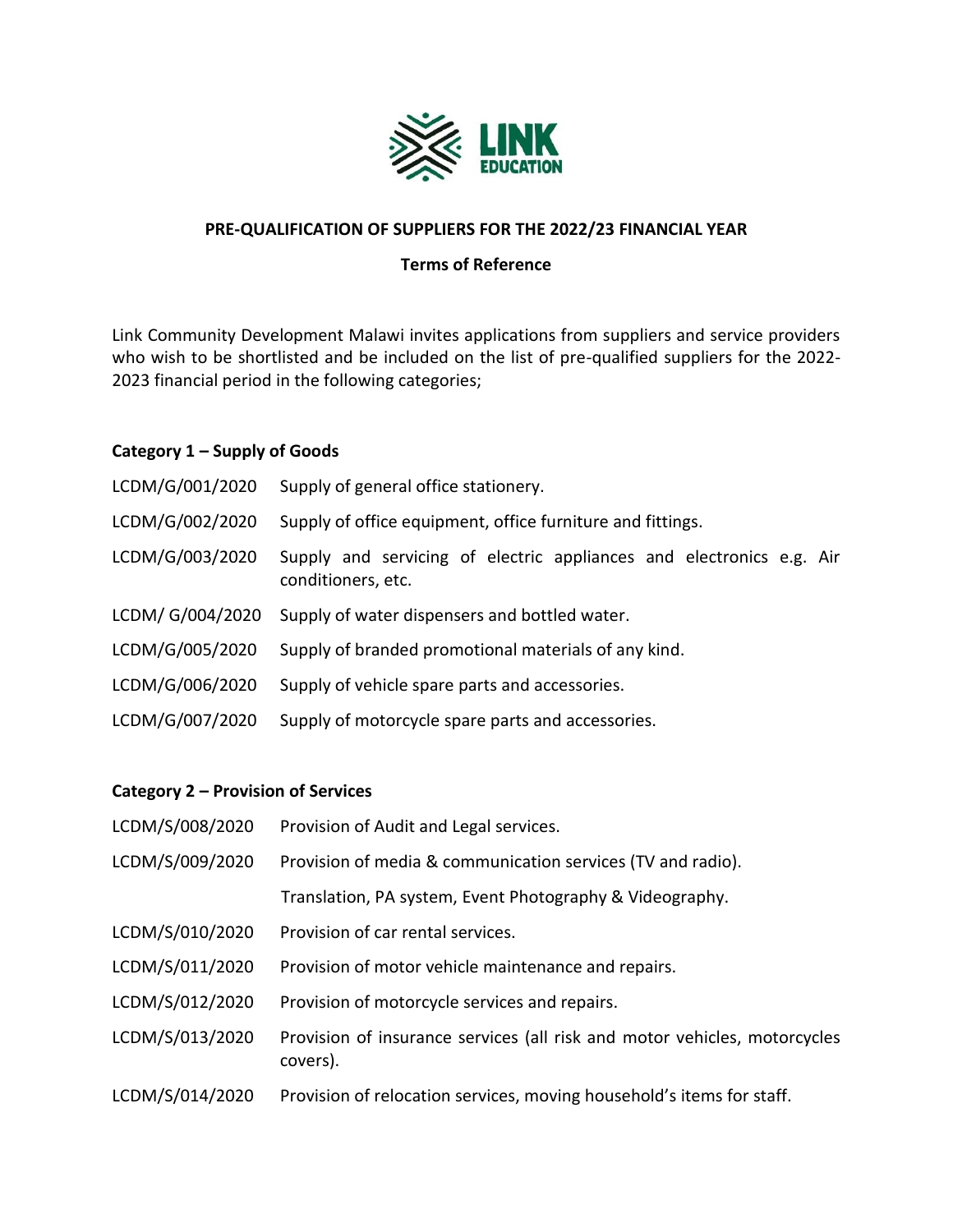

## **PRE-QUALIFICATION OF SUPPLIERS FOR THE 2022/23 FINANCIAL YEAR**

## **Terms of Reference**

Link Community Development Malawi invites applications from suppliers and service providers who wish to be shortlisted and be included on the list of pre-qualified suppliers for the 2022- 2023 financial period in the following categories;

## **Category 1 – Supply of Goods**

| LCDM/G/001/2020  | Supply of general office stationery.                                                       |
|------------------|--------------------------------------------------------------------------------------------|
| LCDM/G/002/2020  | Supply of office equipment, office furniture and fittings.                                 |
| LCDM/G/003/2020  | Supply and servicing of electric appliances and electronics e.g. Air<br>conditioners, etc. |
| LCDM/ G/004/2020 | Supply of water dispensers and bottled water.                                              |
| LCDM/G/005/2020  | Supply of branded promotional materials of any kind.                                       |
| LCDM/G/006/2020  | Supply of vehicle spare parts and accessories.                                             |
| LCDM/G/007/2020  | Supply of motorcycle spare parts and accessories.                                          |

# **Category 2 – Provision of Services**

| LCDM/S/008/2020 | Provision of Audit and Legal services.                                                |
|-----------------|---------------------------------------------------------------------------------------|
| LCDM/S/009/2020 | Provision of media & communication services (TV and radio).                           |
|                 | Translation, PA system, Event Photography & Videography.                              |
| LCDM/S/010/2020 | Provision of car rental services.                                                     |
| LCDM/S/011/2020 | Provision of motor vehicle maintenance and repairs.                                   |
| LCDM/S/012/2020 | Provision of motorcycle services and repairs.                                         |
| LCDM/S/013/2020 | Provision of insurance services (all risk and motor vehicles, motorcycles<br>covers). |
| LCDM/S/014/2020 | Provision of relocation services, moving household's items for staff.                 |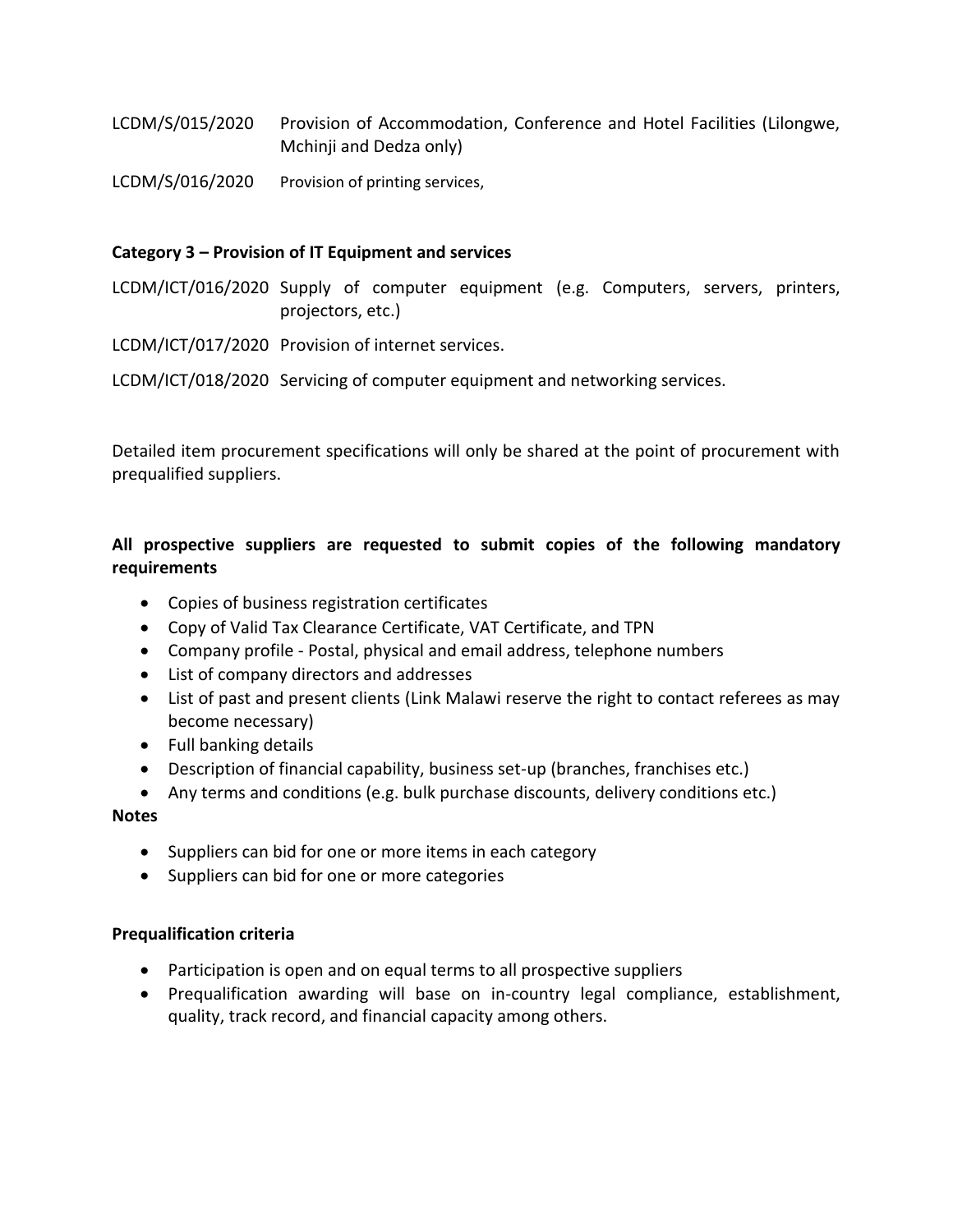- LCDM/S/015/2020 Provision of Accommodation, Conference and Hotel Facilities (Lilongwe, Mchinji and Dedza only)
- LCDM/S/016/2020 Provision of printing services,

# **Category 3 – Provision of IT Equipment and services**

LCDM/ICT/016/2020 Supply of computer equipment (e.g. Computers, servers, printers, projectors, etc.)

LCDM/ICT/017/2020 Provision of internet services.

LCDM/ICT/018/2020 Servicing of computer equipment and networking services.

Detailed item procurement specifications will only be shared at the point of procurement with prequalified suppliers.

# **All prospective suppliers are requested to submit copies of the following mandatory requirements**

- Copies of business registration certificates
- Copy of Valid Tax Clearance Certificate, VAT Certificate, and TPN
- Company profile Postal, physical and email address, telephone numbers
- List of company directors and addresses
- List of past and present clients (Link Malawi reserve the right to contact referees as may become necessary)
- Full banking details
- Description of financial capability, business set-up (branches, franchises etc.)
- Any terms and conditions (e.g. bulk purchase discounts, delivery conditions etc.)

## **Notes**

- Suppliers can bid for one or more items in each category
- Suppliers can bid for one or more categories

## **Prequalification criteria**

- Participation is open and on equal terms to all prospective suppliers
- Prequalification awarding will base on in-country legal compliance, establishment, quality, track record, and financial capacity among others.